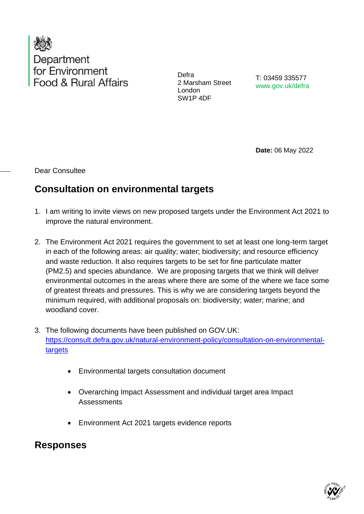

Defra 2 Marsham Street London SW1P 4DF

T: 03459 335577 www.gov.uk/defra

**Date:** 06 May 2022

Dear Consultee

## **Consultation on environmental targets**

- 1. I am writing to invite views on new proposed targets under the Environment Act 2021 to improve the natural environment.
- 2. The Environment Act 2021 requires the government to set at least one long-term target in each of the following areas: air quality; water; biodiversity; and resource efficiency and waste reduction. It also requires targets to be set for fine particulate matter (PM2.5) and species abundance. We are proposing targets that we think will deliver environmental outcomes in the areas where there are some of the where we face some of greatest threats and pressures. This is why we are considering targets beyond the minimum required, with additional proposals on: biodiversity; water; marine; and woodland cover.
- 3. The following documents have been published on GOV.UK: [https://consult.defra.gov.uk/natural-environment-policy/consultation-on-environmental](https://consult.defra.gov.uk/natural-environment-policy/consultation-on-environmental-targets)[targets](https://consult.defra.gov.uk/natural-environment-policy/consultation-on-environmental-targets)
	- Environmental targets consultation document
	- Overarching Impact Assessment and individual target area Impact **Assessments**
	- Environment Act 2021 targets evidence reports

**Responses** 

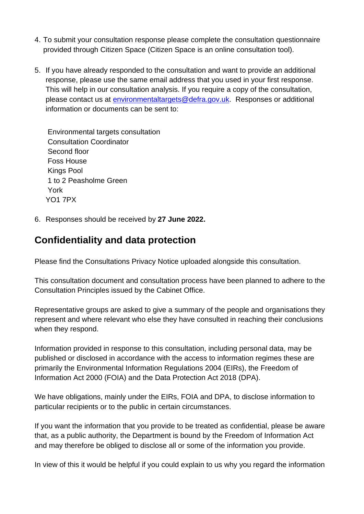- 4. To submit your consultation response please complete the consultation questionnaire provided through Citizen Space (Citizen Space is an online consultation tool).
- 5. If you have already responded to the consultation and want to provide an additional response, please use the same email address that you used in your first response. This will help in our consultation analysis. If you require a copy of the consultation, please contact us at [environmentaltargets@defra.gov.uk.](mailto:environmentaltargets@defra.gov.uk) Responses or additional information or documents can be sent to:

Environmental targets consultation Consultation Coordinator Second floor Foss House Kings Pool 1 to 2 Peasholme Green York YO1 7PX

6. Responses should be received by **27 June 2022.**

## **Confidentiality and data protection**

Please find the Consultations Privacy Notice uploaded alongside this consultation.

This consultation document and consultation process have been planned to adhere to the Consultation Principles issued by the Cabinet Office.

Representative groups are asked to give a summary of the people and organisations they represent and where relevant who else they have consulted in reaching their conclusions when they respond.

Information provided in response to this consultation, including personal data, may be published or disclosed in accordance with the access to information regimes these are primarily the Environmental Information Regulations 2004 (EIRs), the Freedom of Information Act 2000 (FOIA) and the Data Protection Act 2018 (DPA).

We have obligations, mainly under the EIRs, FOIA and DPA, to disclose information to particular recipients or to the public in certain circumstances.

If you want the information that you provide to be treated as confidential, please be aware that, as a public authority, the Department is bound by the Freedom of Information Act and may therefore be obliged to disclose all or some of the information you provide.

In view of this it would be helpful if you could explain to us why you regard the information